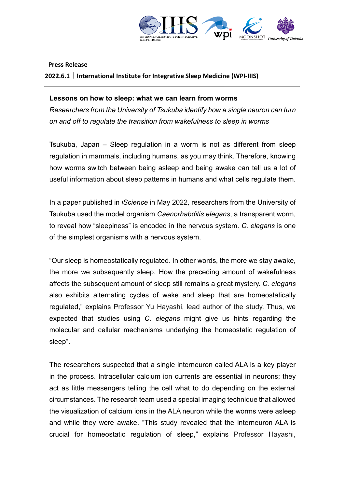

**Press Release**

**2022.6.1|International Institute for Integrative Sleep Medicine (WPI-IIIS)**

## **Lessons on how to sleep: what we can learn from worms**

*Researchers from the University of Tsukuba identify how a single neuron can turn on and off to regulate the transition from wakefulness to sleep in worms* 

Tsukuba, Japan – Sleep regulation in a worm is not as different from sleep regulation in mammals, including humans, as you may think. Therefore, knowing how worms switch between being asleep and being awake can tell us a lot of useful information about sleep patterns in humans and what cells regulate them.

In a paper published in *iScience* in May 2022*,* researchers from the University of Tsukuba used the model organism *Caenorhabditis elegans*, a transparent worm, to reveal how "sleepiness" is encoded in the nervous system. *C. elegans* is one of the simplest organisms with a nervous system.

"Our sleep is homeostatically regulated. In other words, the more we stay awake, the more we subsequently sleep. How the preceding amount of wakefulness affects the subsequent amount of sleep still remains a great mystery. *C. elegans* also exhibits alternating cycles of wake and sleep that are homeostatically regulated," explains Professor Yu Hayashi, lead author of the study. Thus, we expected that studies using *C. elegans* might give us hints regarding the molecular and cellular mechanisms underlying the homeostatic regulation of sleep".

The researchers suspected that a single interneuron called ALA is a key player in the process. Intracellular calcium ion currents are essential in neurons; they act as little messengers telling the cell what to do depending on the external circumstances. The research team used a special imaging technique that allowed the visualization of calcium ions in the ALA neuron while the worms were asleep and while they were awake. "This study revealed that the interneuron ALA is crucial for homeostatic regulation of sleep," explains Professor Hayashi,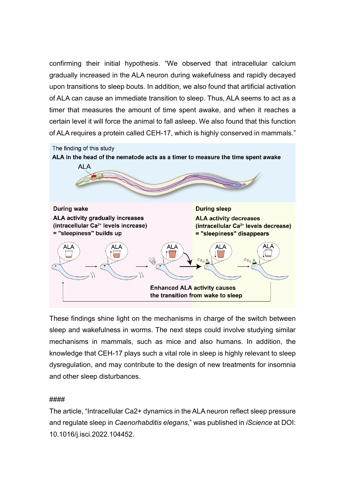confirming their initial hypothesis. "We observed that intracellular calcium gradually increased in the ALA neuron during wakefulness and rapidly decayed upon transitions to sleep bouts. In addition, we also found that artificial activation of ALA can cause an immediate transition to sleep. Thus, ALA seems to act as a timer that measures the amount of time spent awake, and when it reaches a certain level it will force the animal to fall asleep. We also found that this function of ALA requires a protein called CEH-17, which is highly conserved in mammals."



These findings shine light on the mechanisms in charge of the switch between sleep and wakefulness in worms. The next steps could involve studying similar mechanisms in mammals, such as mice and also humans. In addition, the knowledge that CEH-17 plays such a vital role in sleep is highly relevant to sleep dysregulation, and may contribute to the design of new treatments for insomnia and other sleep disturbances.

# ####

The article, "Intracellular Ca2+ dynamics in the ALA neuron reflect sleep pressure and regulate sleep in *Caenorhabditis elegans*," was published in *iScience* at DOI: 10.1016/j.isci.2022.104452.